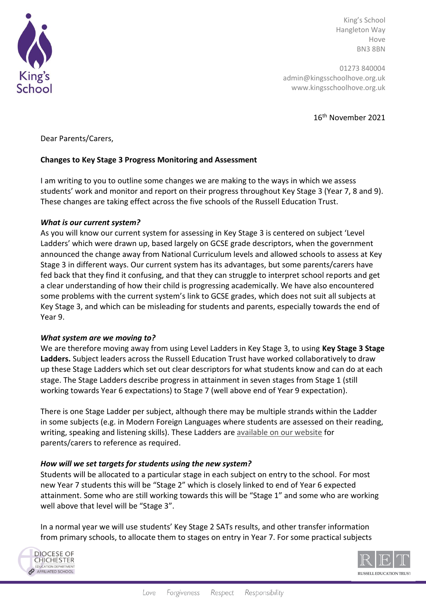

King's School Hangleton Way Hove BN3 8BN

01273 840004 admin@kingsschoolhove.org.uk www.kingsschoolhove.org.uk

16th November 2021

Dear Parents/Carers,

# **Changes to Key Stage 3 Progress Monitoring and Assessment**

I am writing to you to outline some changes we are making to the ways in which we assess students' work and monitor and report on their progress throughout Key Stage 3 (Year 7, 8 and 9). These changes are taking effect across the five schools of the Russell Education Trust.

### *What is our current system?*

As you will know our current system for assessing in Key Stage 3 is centered on subject 'Level Ladders' which were drawn up, based largely on GCSE grade descriptors, when the government announced the change away from National Curriculum levels and allowed schools to assess at Key Stage 3 in different ways. Our current system has its advantages, but some parents/carers have fed back that they find it confusing, and that they can struggle to interpret school reports and get a clear understanding of how their child is progressing academically. We have also encountered some problems with the current system's link to GCSE grades, which does not suit all subjects at Key Stage 3, and which can be misleading for students and parents, especially towards the end of Year 9.

#### *What system are we moving to?*

We are therefore moving away from using Level Ladders in Key Stage 3, to using **Key Stage 3 Stage Ladders.** Subject leaders across the Russell Education Trust have worked collaboratively to draw up these Stage Ladders which set out clear descriptors for what students know and can do at each stage. The Stage Ladders describe progress in attainment in seven stages from Stage 1 (still working towards Year 6 expectations) to Stage 7 (well above end of Year 9 expectation).

There is one Stage Ladder per subject, although there may be multiple strands within the Ladder in some subjects (e.g. in Modern Foreign Languages where students are assessed on their reading, writing, speaking and listening skills). These Ladders are **[available on our website](https://kingsschoolhove.org.uk/assessment-in-ks3.php)** for parents/carers to reference as required.

# *How will we set targets for students using the new system?*

Students will be allocated to a particular stage in each subject on entry to the school. For most new Year 7 students this will be "Stage 2" which is closely linked to end of Year 6 expected attainment. Some who are still working towards this will be "Stage 1" and some who are working well above that level will be "Stage 3".

In a normal year we will use students' Key Stage 2 SATs results, and other transfer information from primary schools, to allocate them to stages on entry in Year 7. For some practical subjects



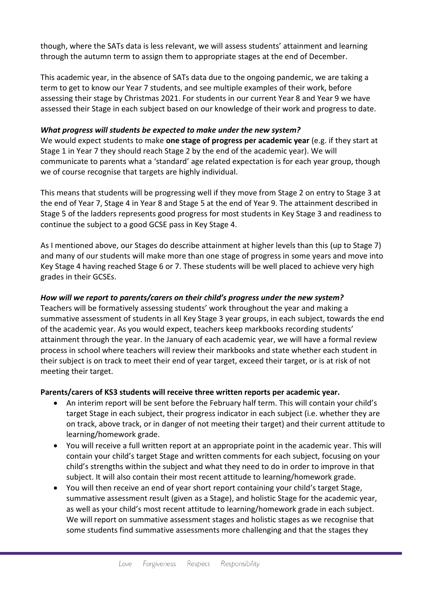though, where the SATs data is less relevant, we will assess students' attainment and learning through the autumn term to assign them to appropriate stages at the end of December.

This academic year, in the absence of SATs data due to the ongoing pandemic, we are taking a term to get to know our Year 7 students, and see multiple examples of their work, before assessing their stage by Christmas 2021. For students in our current Year 8 and Year 9 we have assessed their Stage in each subject based on our knowledge of their work and progress to date.

### *What progress will students be expected to make under the new system?*

We would expect students to make **one stage of progress per academic year** (e.g. if they start at Stage 1 in Year 7 they should reach Stage 2 by the end of the academic year). We will communicate to parents what a 'standard' age related expectation is for each year group, though we of course recognise that targets are highly individual.

This means that students will be progressing well if they move from Stage 2 on entry to Stage 3 at the end of Year 7, Stage 4 in Year 8 and Stage 5 at the end of Year 9. The attainment described in Stage 5 of the ladders represents good progress for most students in Key Stage 3 and readiness to continue the subject to a good GCSE pass in Key Stage 4.

As I mentioned above, our Stages do describe attainment at higher levels than this (up to Stage 7) and many of our students will make more than one stage of progress in some years and move into Key Stage 4 having reached Stage 6 or 7. These students will be well placed to achieve very high grades in their GCSEs.

# *How will we report to parents/carers on their child's progress under the new system?*

Teachers will be formatively assessing students' work throughout the year and making a summative assessment of students in all Key Stage 3 year groups, in each subject, towards the end of the academic year. As you would expect, teachers keep markbooks recording students' attainment through the year. In the January of each academic year, we will have a formal review process in school where teachers will review their markbooks and state whether each student in their subject is on track to meet their end of year target, exceed their target, or is at risk of not meeting their target.

# **Parents/carers of KS3 students will receive three written reports per academic year.**

- An interim report will be sent before the February half term. This will contain your child's target Stage in each subject, their progress indicator in each subject (i.e. whether they are on track, above track, or in danger of not meeting their target) and their current attitude to learning/homework grade.
- You will receive a full written report at an appropriate point in the academic year. This will contain your child's target Stage and written comments for each subject, focusing on your child's strengths within the subject and what they need to do in order to improve in that subject. It will also contain their most recent attitude to learning/homework grade.
- You will then receive an end of year short report containing your child's target Stage, summative assessment result (given as a Stage), and holistic Stage for the academic year, as well as your child's most recent attitude to learning/homework grade in each subject. We will report on summative assessment stages and holistic stages as we recognise that some students find summative assessments more challenging and that the stages they